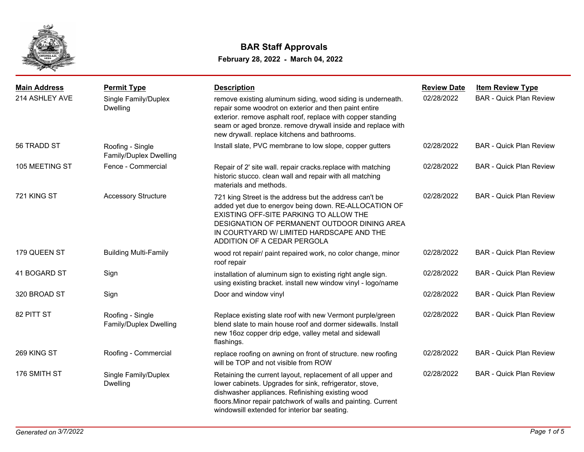

| <b>Main Address</b><br>214 ASHLEY AVE | <b>Permit Type</b><br>Single Family/Duplex<br><b>Dwelling</b> | <b>Description</b><br>remove existing aluminum siding, wood siding is underneath.<br>repair some woodrot on exterior and then paint entire<br>exterior. remove asphalt roof, replace with copper standing<br>seam or aged bronze. remove drywall inside and replace with                    | <b>Review Date</b><br>02/28/2022 | <b>Item Review Type</b><br><b>BAR - Quick Plan Review</b> |
|---------------------------------------|---------------------------------------------------------------|---------------------------------------------------------------------------------------------------------------------------------------------------------------------------------------------------------------------------------------------------------------------------------------------|----------------------------------|-----------------------------------------------------------|
| 56 TRADD ST                           | Roofing - Single<br>Family/Duplex Dwelling                    | new drywall. replace kitchens and bathrooms.<br>Install slate, PVC membrane to low slope, copper gutters                                                                                                                                                                                    | 02/28/2022                       | <b>BAR - Quick Plan Review</b>                            |
| 105 MEETING ST                        | Fence - Commercial                                            | Repair of 2' site wall. repair cracks.replace with matching<br>historic stucco. clean wall and repair with all matching<br>materials and methods.                                                                                                                                           | 02/28/2022                       | <b>BAR - Quick Plan Review</b>                            |
| 721 KING ST                           | <b>Accessory Structure</b>                                    | 721 king Street is the address but the address can't be<br>added yet due to energov being down. RE-ALLOCATION OF<br>EXISTING OFF-SITE PARKING TO ALLOW THE<br>DESIGNATION OF PERMANENT OUTDOOR DINING AREA<br>IN COURTYARD W/ LIMITED HARDSCAPE AND THE<br>ADDITION OF A CEDAR PERGOLA      | 02/28/2022                       | <b>BAR - Quick Plan Review</b>                            |
| 179 QUEEN ST                          | <b>Building Multi-Family</b>                                  | wood rot repair/ paint repaired work, no color change, minor<br>roof repair                                                                                                                                                                                                                 | 02/28/2022                       | <b>BAR - Quick Plan Review</b>                            |
| 41 BOGARD ST                          | Sign                                                          | installation of aluminum sign to existing right angle sign.<br>using existing bracket. install new window vinyl - logo/name                                                                                                                                                                 | 02/28/2022                       | <b>BAR - Quick Plan Review</b>                            |
| 320 BROAD ST                          | Sign                                                          | Door and window vinyl                                                                                                                                                                                                                                                                       | 02/28/2022                       | <b>BAR - Quick Plan Review</b>                            |
| 82 PITT ST                            | Roofing - Single<br>Family/Duplex Dwelling                    | Replace existing slate roof with new Vermont purple/green<br>blend slate to main house roof and dormer sidewalls. Install<br>new 16oz copper drip edge, valley metal and sidewall<br>flashings.                                                                                             | 02/28/2022                       | <b>BAR - Quick Plan Review</b>                            |
| 269 KING ST                           | Roofing - Commercial                                          | replace roofing on awning on front of structure. new roofing<br>will be TOP and not visible from ROW                                                                                                                                                                                        | 02/28/2022                       | <b>BAR - Quick Plan Review</b>                            |
| 176 SMITH ST                          | Single Family/Duplex<br><b>Dwelling</b>                       | Retaining the current layout, replacement of all upper and<br>lower cabinets. Upgrades for sink, refrigerator, stove,<br>dishwasher appliances. Refinishing existing wood<br>floors. Minor repair patchwork of walls and painting. Current<br>windowsill extended for interior bar seating. | 02/28/2022                       | <b>BAR - Quick Plan Review</b>                            |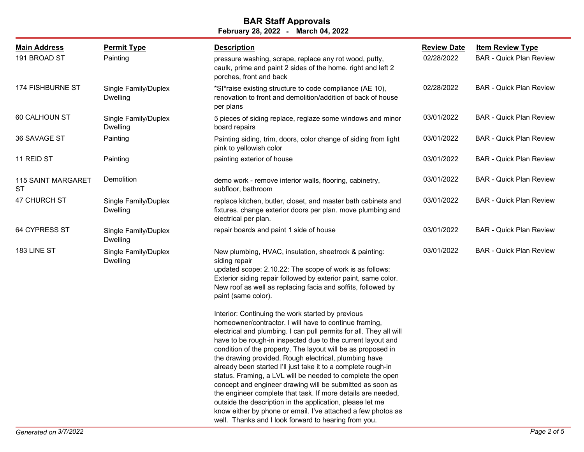| <b>Main Address</b>                    | <b>Permit Type</b>                      | <b>Description</b>                                                                                                                                                                                                                                                                                                                                                                                                                                                                                                                                                                                                                                                                                                                                                                                                         | <b>Review Date</b> | <b>Item Review Type</b>        |
|----------------------------------------|-----------------------------------------|----------------------------------------------------------------------------------------------------------------------------------------------------------------------------------------------------------------------------------------------------------------------------------------------------------------------------------------------------------------------------------------------------------------------------------------------------------------------------------------------------------------------------------------------------------------------------------------------------------------------------------------------------------------------------------------------------------------------------------------------------------------------------------------------------------------------------|--------------------|--------------------------------|
| 191 BROAD ST                           | Painting                                | pressure washing, scrape, replace any rot wood, putty,<br>caulk, prime and paint 2 sides of the home. right and left 2<br>porches, front and back                                                                                                                                                                                                                                                                                                                                                                                                                                                                                                                                                                                                                                                                          | 02/28/2022         | <b>BAR - Quick Plan Review</b> |
| 174 FISHBURNE ST                       | Single Family/Duplex<br>Dwelling        | *SI*raise existing structure to code compliance (AE 10),<br>renovation to front and demolition/addition of back of house<br>per plans                                                                                                                                                                                                                                                                                                                                                                                                                                                                                                                                                                                                                                                                                      | 02/28/2022         | <b>BAR - Quick Plan Review</b> |
| 60 CALHOUN ST                          | Single Family/Duplex<br><b>Dwelling</b> | 5 pieces of siding replace, reglaze some windows and minor<br>board repairs                                                                                                                                                                                                                                                                                                                                                                                                                                                                                                                                                                                                                                                                                                                                                | 03/01/2022         | <b>BAR - Quick Plan Review</b> |
| 36 SAVAGE ST                           | Painting                                | Painting siding, trim, doors, color change of siding from light<br>pink to yellowish color                                                                                                                                                                                                                                                                                                                                                                                                                                                                                                                                                                                                                                                                                                                                 | 03/01/2022         | <b>BAR</b> - Quick Plan Review |
| 11 REID ST                             | Painting                                | painting exterior of house                                                                                                                                                                                                                                                                                                                                                                                                                                                                                                                                                                                                                                                                                                                                                                                                 | 03/01/2022         | <b>BAR - Quick Plan Review</b> |
| <b>115 SAINT MARGARET</b><br><b>ST</b> | Demolition                              | demo work - remove interior walls, flooring, cabinetry,<br>subfloor, bathroom                                                                                                                                                                                                                                                                                                                                                                                                                                                                                                                                                                                                                                                                                                                                              | 03/01/2022         | <b>BAR - Quick Plan Review</b> |
| 47 CHURCH ST                           | Single Family/Duplex<br><b>Dwelling</b> | replace kitchen, butler, closet, and master bath cabinets and<br>fixtures. change exterior doors per plan. move plumbing and<br>electrical per plan.                                                                                                                                                                                                                                                                                                                                                                                                                                                                                                                                                                                                                                                                       | 03/01/2022         | <b>BAR - Quick Plan Review</b> |
| 64 CYPRESS ST                          | Single Family/Duplex<br>Dwelling        | repair boards and paint 1 side of house                                                                                                                                                                                                                                                                                                                                                                                                                                                                                                                                                                                                                                                                                                                                                                                    | 03/01/2022         | <b>BAR - Quick Plan Review</b> |
| 183 LINE ST                            | Single Family/Duplex<br>Dwelling        | New plumbing, HVAC, insulation, sheetrock & painting:<br>siding repair<br>updated scope: 2.10.22: The scope of work is as follows:<br>Exterior siding repair followed by exterior paint, same color.<br>New roof as well as replacing facia and soffits, followed by<br>paint (same color).                                                                                                                                                                                                                                                                                                                                                                                                                                                                                                                                | 03/01/2022         | <b>BAR - Quick Plan Review</b> |
|                                        |                                         | Interior: Continuing the work started by previous<br>homeowner/contractor. I will have to continue framing,<br>electrical and plumbing. I can pull permits for all. They all will<br>have to be rough-in inspected due to the current layout and<br>condition of the property. The layout will be as proposed in<br>the drawing provided. Rough electrical, plumbing have<br>already been started I'll just take it to a complete rough-in<br>status. Framing, a LVL will be needed to complete the open<br>concept and engineer drawing will be submitted as soon as<br>the engineer complete that task. If more details are needed,<br>outside the description in the application, please let me<br>know either by phone or email. I've attached a few photos as<br>well. Thanks and I look forward to hearing from you. |                    |                                |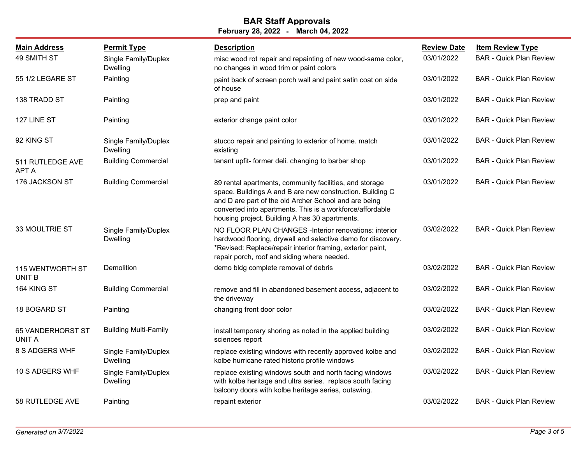| <b>Main Address</b>               | <b>Permit Type</b>                      | <b>Description</b>                                                                                                                                                                                                                                                                           | <b>Review Date</b> | <b>Item Review Type</b>        |
|-----------------------------------|-----------------------------------------|----------------------------------------------------------------------------------------------------------------------------------------------------------------------------------------------------------------------------------------------------------------------------------------------|--------------------|--------------------------------|
| 49 SMITH ST                       | Single Family/Duplex<br><b>Dwelling</b> | misc wood rot repair and repainting of new wood-same color,<br>no changes in wood trim or paint colors                                                                                                                                                                                       | 03/01/2022         | <b>BAR - Quick Plan Review</b> |
| 55 1/2 LEGARE ST                  | Painting                                | paint back of screen porch wall and paint satin coat on side<br>of house                                                                                                                                                                                                                     | 03/01/2022         | <b>BAR</b> - Quick Plan Review |
| 138 TRADD ST                      | Painting                                | prep and paint                                                                                                                                                                                                                                                                               | 03/01/2022         | <b>BAR - Quick Plan Review</b> |
| 127 LINE ST                       | Painting                                | exterior change paint color                                                                                                                                                                                                                                                                  | 03/01/2022         | <b>BAR - Quick Plan Review</b> |
| 92 KING ST                        | Single Family/Duplex<br><b>Dwelling</b> | stucco repair and painting to exterior of home. match<br>existing                                                                                                                                                                                                                            | 03/01/2022         | <b>BAR - Quick Plan Review</b> |
| 511 RUTLEDGE AVE<br><b>APT A</b>  | <b>Building Commercial</b>              | tenant upfit-former deli. changing to barber shop                                                                                                                                                                                                                                            | 03/01/2022         | <b>BAR - Quick Plan Review</b> |
| 176 JACKSON ST                    | <b>Building Commercial</b>              | 89 rental apartments, community facilities, and storage<br>space. Buildings A and B are new construction. Building C<br>and D are part of the old Archer School and are being<br>converted into apartments. This is a workforce/affordable<br>housing project. Building A has 30 apartments. | 03/01/2022         | <b>BAR - Quick Plan Review</b> |
| <b>33 MOULTRIE ST</b>             | Single Family/Duplex<br><b>Dwelling</b> | NO FLOOR PLAN CHANGES -Interior renovations: interior<br>hardwood flooring, drywall and selective demo for discovery.<br>*Revised: Replace/repair interior framing, exterior paint,<br>repair porch, roof and siding where needed.                                                           | 03/02/2022         | <b>BAR - Quick Plan Review</b> |
| 115 WENTWORTH ST<br><b>UNIT B</b> | Demolition                              | demo bldg complete removal of debris                                                                                                                                                                                                                                                         | 03/02/2022         | <b>BAR - Quick Plan Review</b> |
| 164 KING ST                       | <b>Building Commercial</b>              | remove and fill in abandoned basement access, adjacent to<br>the driveway                                                                                                                                                                                                                    | 03/02/2022         | <b>BAR - Quick Plan Review</b> |
| 18 BOGARD ST                      | Painting                                | changing front door color                                                                                                                                                                                                                                                                    | 03/02/2022         | <b>BAR - Quick Plan Review</b> |
| 65 VANDERHORST ST<br>UNIT A       | <b>Building Multi-Family</b>            | install temporary shoring as noted in the applied building<br>sciences report                                                                                                                                                                                                                | 03/02/2022         | <b>BAR - Quick Plan Review</b> |
| 8 S ADGERS WHF                    | Single Family/Duplex<br><b>Dwelling</b> | replace existing windows with recently approved kolbe and<br>kolbe hurricane rated historic profile windows                                                                                                                                                                                  | 03/02/2022         | <b>BAR - Quick Plan Review</b> |
| 10 S ADGERS WHF                   | Single Family/Duplex<br>Dwelling        | replace existing windows south and north facing windows<br>with kolbe heritage and ultra series. replace south facing<br>balcony doors with kolbe heritage series, outswing.                                                                                                                 | 03/02/2022         | <b>BAR - Quick Plan Review</b> |
| 58 RUTLEDGE AVE                   | Painting                                | repaint exterior                                                                                                                                                                                                                                                                             | 03/02/2022         | <b>BAR - Quick Plan Review</b> |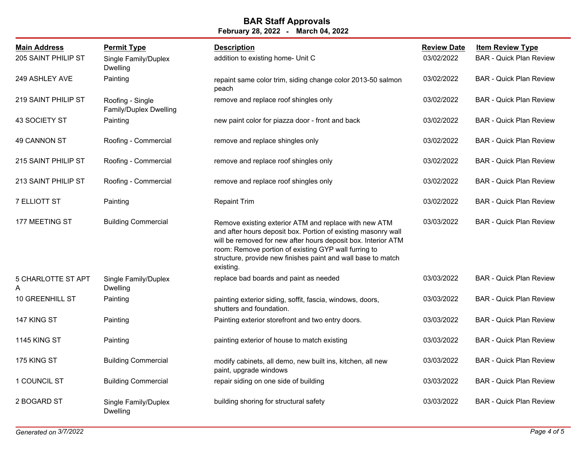| <b>Main Address</b><br>205 SAINT PHILIP ST | <b>Permit Type</b><br>Single Family/Duplex<br><b>Dwelling</b> | <b>Description</b><br>addition to existing home- Unit C                                                                                                                                                                                                                                                                      | <b>Review Date</b><br>03/02/2022 | <b>Item Review Type</b><br><b>BAR - Quick Plan Review</b> |
|--------------------------------------------|---------------------------------------------------------------|------------------------------------------------------------------------------------------------------------------------------------------------------------------------------------------------------------------------------------------------------------------------------------------------------------------------------|----------------------------------|-----------------------------------------------------------|
| 249 ASHLEY AVE                             | Painting                                                      | repaint same color trim, siding change color 2013-50 salmon<br>peach                                                                                                                                                                                                                                                         | 03/02/2022                       | <b>BAR - Quick Plan Review</b>                            |
| 219 SAINT PHILIP ST                        | Roofing - Single<br>Family/Duplex Dwelling                    | remove and replace roof shingles only                                                                                                                                                                                                                                                                                        | 03/02/2022                       | <b>BAR - Quick Plan Review</b>                            |
| 43 SOCIETY ST                              | Painting                                                      | new paint color for piazza door - front and back                                                                                                                                                                                                                                                                             | 03/02/2022                       | <b>BAR - Quick Plan Review</b>                            |
| 49 CANNON ST                               | Roofing - Commercial                                          | remove and replace shingles only                                                                                                                                                                                                                                                                                             | 03/02/2022                       | <b>BAR - Quick Plan Review</b>                            |
| 215 SAINT PHILIP ST                        | Roofing - Commercial                                          | remove and replace roof shingles only                                                                                                                                                                                                                                                                                        | 03/02/2022                       | <b>BAR - Quick Plan Review</b>                            |
| 213 SAINT PHILIP ST                        | Roofing - Commercial                                          | remove and replace roof shingles only                                                                                                                                                                                                                                                                                        | 03/02/2022                       | <b>BAR - Quick Plan Review</b>                            |
| 7 ELLIOTT ST                               | Painting                                                      | <b>Repaint Trim</b>                                                                                                                                                                                                                                                                                                          | 03/02/2022                       | <b>BAR - Quick Plan Review</b>                            |
| 177 MEETING ST                             | <b>Building Commercial</b>                                    | Remove existing exterior ATM and replace with new ATM<br>and after hours deposit box. Portion of existing masonry wall<br>will be removed for new after hours deposit box. Interior ATM<br>room: Remove portion of existing GYP wall furring to<br>structure, provide new finishes paint and wall base to match<br>existing. | 03/03/2022                       | <b>BAR - Quick Plan Review</b>                            |
| 5 CHARLOTTE ST APT<br>A                    | Single Family/Duplex<br><b>Dwelling</b>                       | replace bad boards and paint as needed                                                                                                                                                                                                                                                                                       | 03/03/2022                       | <b>BAR - Quick Plan Review</b>                            |
| <b>10 GREENHILL ST</b>                     | Painting                                                      | painting exterior siding, soffit, fascia, windows, doors,<br>shutters and foundation.                                                                                                                                                                                                                                        | 03/03/2022                       | <b>BAR - Quick Plan Review</b>                            |
| 147 KING ST                                | Painting                                                      | Painting exterior storefront and two entry doors.                                                                                                                                                                                                                                                                            | 03/03/2022                       | <b>BAR</b> - Quick Plan Review                            |
| <b>1145 KING ST</b>                        | Painting                                                      | painting exterior of house to match existing                                                                                                                                                                                                                                                                                 | 03/03/2022                       | <b>BAR - Quick Plan Review</b>                            |
| 175 KING ST                                | <b>Building Commercial</b>                                    | modify cabinets, all demo, new built ins, kitchen, all new<br>paint, upgrade windows                                                                                                                                                                                                                                         | 03/03/2022                       | <b>BAR - Quick Plan Review</b>                            |
| 1 COUNCIL ST                               | <b>Building Commercial</b>                                    | repair siding on one side of building                                                                                                                                                                                                                                                                                        | 03/03/2022                       | <b>BAR - Quick Plan Review</b>                            |
| 2 BOGARD ST                                | Single Family/Duplex<br><b>Dwelling</b>                       | building shoring for structural safety                                                                                                                                                                                                                                                                                       | 03/03/2022                       | <b>BAR - Quick Plan Review</b>                            |